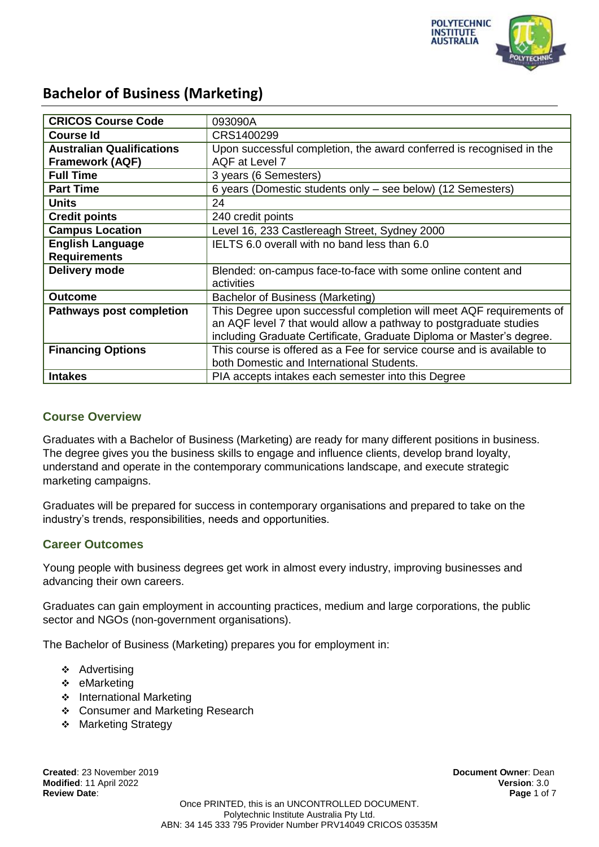

| <b>CRICOS Course Code</b>        | 093090A                                                                |
|----------------------------------|------------------------------------------------------------------------|
| <b>Course Id</b>                 | CRS1400299                                                             |
| <b>Australian Qualifications</b> | Upon successful completion, the award conferred is recognised in the   |
| <b>Framework (AQF)</b>           | AQF at Level 7                                                         |
| <b>Full Time</b>                 | 3 years (6 Semesters)                                                  |
| <b>Part Time</b>                 | 6 years (Domestic students only – see below) (12 Semesters)            |
| <b>Units</b>                     | 24                                                                     |
| <b>Credit points</b>             | 240 credit points                                                      |
| <b>Campus Location</b>           | Level 16, 233 Castlereagh Street, Sydney 2000                          |
| <b>English Language</b>          | IELTS 6.0 overall with no band less than 6.0                           |
| <b>Requirements</b>              |                                                                        |
| Delivery mode                    | Blended: on-campus face-to-face with some online content and           |
|                                  | activities                                                             |
| <b>Outcome</b>                   | Bachelor of Business (Marketing)                                       |
| <b>Pathways post completion</b>  | This Degree upon successful completion will meet AQF requirements of   |
|                                  | an AQF level 7 that would allow a pathway to postgraduate studies      |
|                                  | including Graduate Certificate, Graduate Diploma or Master's degree.   |
| <b>Financing Options</b>         | This course is offered as a Fee for service course and is available to |
|                                  | both Domestic and International Students.                              |
| <b>Intakes</b>                   | PIA accepts intakes each semester into this Degree                     |

### **Course Overview**

Graduates with a Bachelor of Business (Marketing) are ready for many different positions in business. The degree gives you the business skills to engage and influence clients, develop brand loyalty, understand and operate in the contemporary communications landscape, and execute strategic marketing campaigns.

Graduates will be prepared for success in contemporary organisations and prepared to take on the industry's trends, responsibilities, needs and opportunities.

### **Career Outcomes**

Young people with business degrees get work in almost every industry, improving businesses and advancing their own careers.

Graduates can gain employment in accounting practices, medium and large corporations, the public sector and NGOs (non-government organisations).

The Bachelor of Business (Marketing) prepares you for employment in:

- ❖ Advertising
- ❖ eMarketing
- ❖ International Marketing
- Consumer and Marketing Research
- **Marketing Strategy**

**Created**: 23 November 2019 **Document Owner**: Dean **Modified**: 11 April 2022 **Version**: 3.0 **Review Date**: **Page** 1 of 7

Once PRINTED, this is an UNCONTROLLED DOCUMENT. Polytechnic Institute Australia Pty Ltd. ABN: 34 145 333 795 Provider Number PRV14049 CRICOS 03535M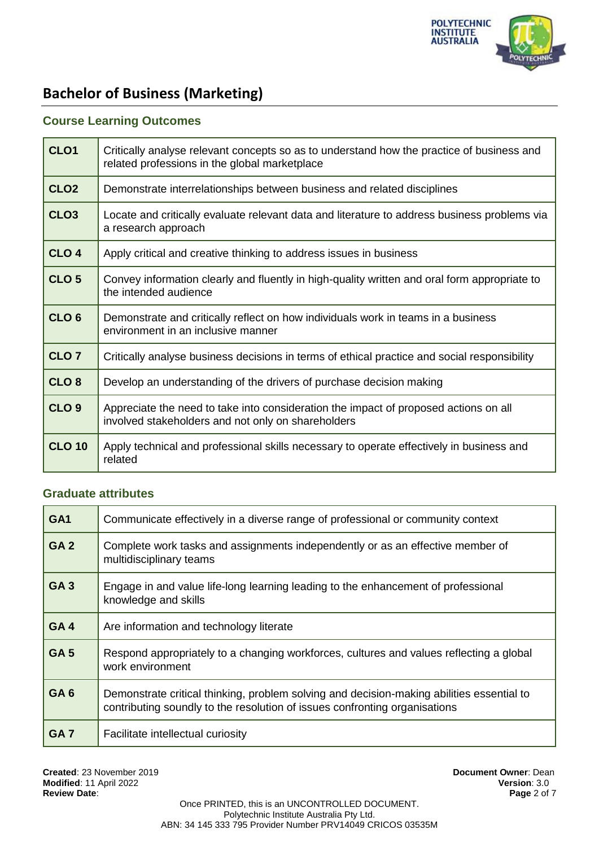

## **Course Learning Outcomes**

| CLO <sub>1</sub> | Critically analyse relevant concepts so as to understand how the practice of business and<br>related professions in the global marketplace |
|------------------|--------------------------------------------------------------------------------------------------------------------------------------------|
| CLO <sub>2</sub> | Demonstrate interrelationships between business and related disciplines                                                                    |
| CLO <sub>3</sub> | Locate and critically evaluate relevant data and literature to address business problems via<br>a research approach                        |
| CLO <sub>4</sub> | Apply critical and creative thinking to address issues in business                                                                         |
| CLO <sub>5</sub> | Convey information clearly and fluently in high-quality written and oral form appropriate to<br>the intended audience                      |
| CLO <sub>6</sub> | Demonstrate and critically reflect on how individuals work in teams in a business<br>environment in an inclusive manner                    |
| CLO <sub>7</sub> | Critically analyse business decisions in terms of ethical practice and social responsibility                                               |
| CLO <sub>8</sub> | Develop an understanding of the drivers of purchase decision making                                                                        |
| CLO <sub>9</sub> | Appreciate the need to take into consideration the impact of proposed actions on all<br>involved stakeholders and not only on shareholders |
| <b>CLO 10</b>    | Apply technical and professional skills necessary to operate effectively in business and<br>related                                        |

#### **Graduate attributes**

| GA <sub>1</sub> | Communicate effectively in a diverse range of professional or community context                                                                                         |
|-----------------|-------------------------------------------------------------------------------------------------------------------------------------------------------------------------|
| GA <sub>2</sub> | Complete work tasks and assignments independently or as an effective member of<br>multidisciplinary teams                                                               |
| <b>GA3</b>      | Engage in and value life-long learning leading to the enhancement of professional<br>knowledge and skills                                                               |
| GA4             | Are information and technology literate                                                                                                                                 |
| GA <sub>5</sub> | Respond appropriately to a changing workforces, cultures and values reflecting a global<br>work environment                                                             |
| GA <sub>6</sub> | Demonstrate critical thinking, problem solving and decision-making abilities essential to<br>contributing soundly to the resolution of issues confronting organisations |
| GA <sub>7</sub> | Facilitate intellectual curiosity                                                                                                                                       |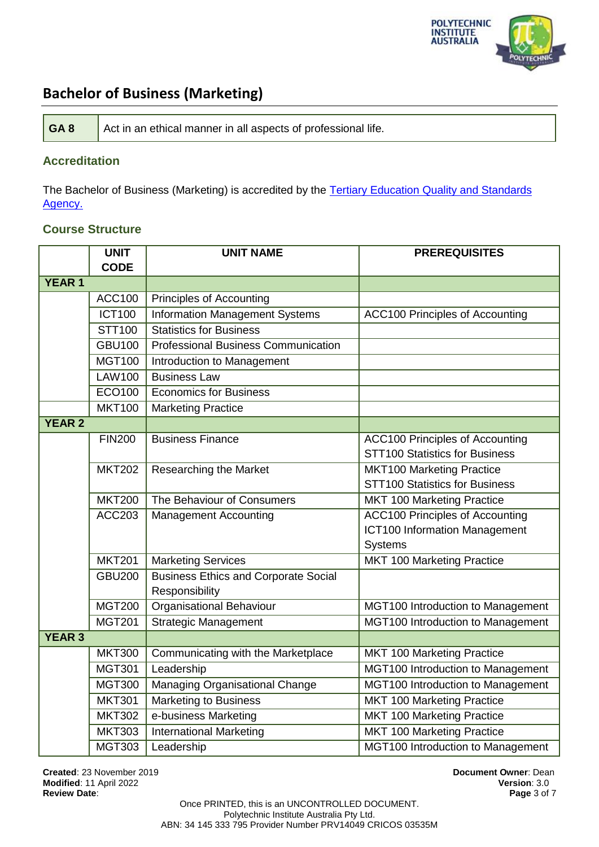

| GA8<br>Act in an ethical manner in all aspects of professional life. |
|----------------------------------------------------------------------|
|----------------------------------------------------------------------|

### **Accreditation**

The Bachelor of Business (Marketing) is accredited by the Tertiary Education Quality and Standards [Agency.](https://www.teqsa.gov.au/national-register/course/polytechnic-institute-australia-pty-ltd-0)

### **Course Structure**

|               | <b>UNIT</b>   | <b>UNIT NAME</b>                            | <b>PREREQUISITES</b>                   |
|---------------|---------------|---------------------------------------------|----------------------------------------|
|               | <b>CODE</b>   |                                             |                                        |
| <b>YEAR 1</b> |               |                                             |                                        |
|               | <b>ACC100</b> | Principles of Accounting                    |                                        |
|               | <b>ICT100</b> | <b>Information Management Systems</b>       | <b>ACC100 Principles of Accounting</b> |
|               | STT100        | <b>Statistics for Business</b>              |                                        |
|               | <b>GBU100</b> | <b>Professional Business Communication</b>  |                                        |
|               | <b>MGT100</b> | Introduction to Management                  |                                        |
|               | <b>LAW100</b> | <b>Business Law</b>                         |                                        |
|               | ECO100        | <b>Economics for Business</b>               |                                        |
|               | <b>MKT100</b> | <b>Marketing Practice</b>                   |                                        |
| <b>YEAR 2</b> |               |                                             |                                        |
|               | <b>FIN200</b> | <b>Business Finance</b>                     | <b>ACC100 Principles of Accounting</b> |
|               |               |                                             | <b>STT100 Statistics for Business</b>  |
|               | <b>MKT202</b> | <b>Researching the Market</b>               | <b>MKT100 Marketing Practice</b>       |
|               |               |                                             | <b>STT100 Statistics for Business</b>  |
|               | <b>MKT200</b> | The Behaviour of Consumers                  | MKT 100 Marketing Practice             |
|               | <b>ACC203</b> | <b>Management Accounting</b>                | <b>ACC100 Principles of Accounting</b> |
|               |               |                                             | <b>ICT100 Information Management</b>   |
|               |               |                                             | <b>Systems</b>                         |
|               | <b>MKT201</b> | <b>Marketing Services</b>                   | MKT 100 Marketing Practice             |
|               | <b>GBU200</b> | <b>Business Ethics and Corporate Social</b> |                                        |
|               |               | Responsibility                              |                                        |
|               | <b>MGT200</b> | <b>Organisational Behaviour</b>             | MGT100 Introduction to Management      |
|               | <b>MGT201</b> | <b>Strategic Management</b>                 | MGT100 Introduction to Management      |
| <b>YEAR 3</b> |               |                                             |                                        |
|               | <b>MKT300</b> | Communicating with the Marketplace          | MKT 100 Marketing Practice             |
|               | <b>MGT301</b> | Leadership                                  | MGT100 Introduction to Management      |
|               | <b>MGT300</b> | <b>Managing Organisational Change</b>       | MGT100 Introduction to Management      |
|               | <b>MKT301</b> | <b>Marketing to Business</b>                | MKT 100 Marketing Practice             |
|               | <b>MKT302</b> | e-business Marketing                        | MKT 100 Marketing Practice             |
|               | <b>MKT303</b> | International Marketing                     | <b>MKT 100 Marketing Practice</b>      |
|               | <b>MGT303</b> | Leadership                                  | MGT100 Introduction to Management      |

**Created**: 23 November 2019 **Document Owner**: Dean **Modified: 11 April 2022 Review Date**: **Page** 3 of 7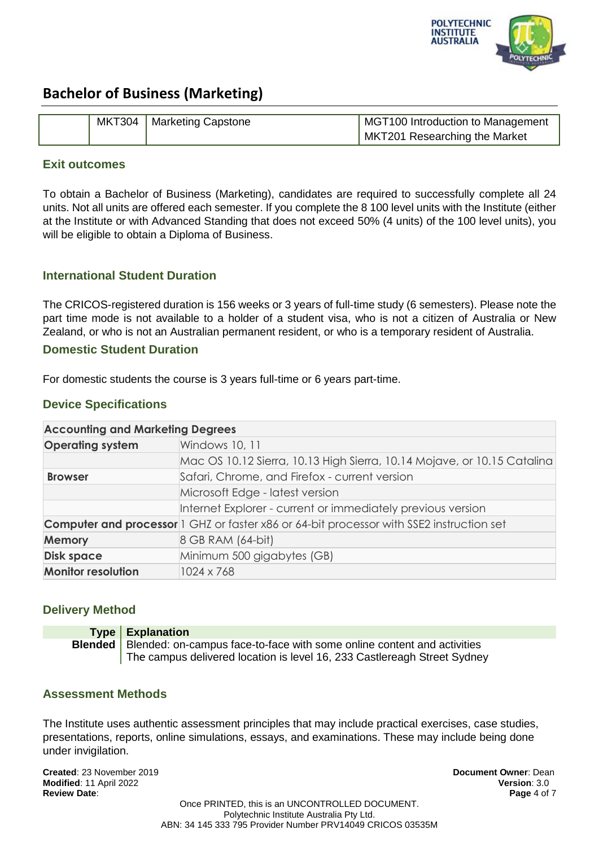

|  | MKT304   Marketing Capstone | MGT100 Introduction to Management |
|--|-----------------------------|-----------------------------------|
|  |                             | MKT201 Researching the Market     |

#### **Exit outcomes**

To obtain a Bachelor of Business (Marketing), candidates are required to successfully complete all 24 units. Not all units are offered each semester. If you complete the 8 100 level units with the Institute (either at the Institute or with Advanced Standing that does not exceed 50% (4 units) of the 100 level units), you will be eligible to obtain a Diploma of Business.

## **International Student Duration**

The CRICOS-registered duration is 156 weeks or 3 years of full-time study (6 semesters). Please note the part time mode is not available to a holder of a student visa, who is not a citizen of Australia or New Zealand, or who is not an Australian permanent resident, or who is a temporary resident of Australia.

#### **Domestic Student Duration**

For domestic students the course is 3 years full-time or 6 years part-time.

### **Device Specifications**

#### **Accounting and Marketing Degrees**

| <b>Operating system</b>   | Windows 10, 11                                                                                  |
|---------------------------|-------------------------------------------------------------------------------------------------|
|                           | Mac OS 10.12 Sierra, 10.13 High Sierra, 10.14 Mojave, or 10.15 Catalina                         |
| <b>Browser</b>            | Safari, Chrome, and Firefox - current version                                                   |
|                           | Microsoft Edge - latest version                                                                 |
|                           | Internet Explorer - current or immediately previous version                                     |
|                           | <b>Computer and processor</b> 1 GHZ or faster x86 or 64-bit processor with SSE2 instruction set |
| <b>Memory</b>             | 8 GB RAM (64-bit)                                                                               |
| <b>Disk space</b>         | Minimum 500 gigabytes (GB)                                                                      |
| <b>Monitor resolution</b> | 1024 x 768                                                                                      |

### **Delivery Method**

| Type   Explanation                                                                       |
|------------------------------------------------------------------------------------------|
| <b>Blended</b>   Blended: on-campus face-to-face with some online content and activities |
| The campus delivered location is level 16, 233 Castlereagh Street Sydney                 |

### **Assessment Methods**

The Institute uses authentic assessment principles that may include practical exercises, case studies, presentations, reports, online simulations, essays, and examinations. These may include being done under invigilation.

**Created**: 23 November 2019 **Document Owner**: Dean **Modified**: 11 April 2022 **Version**: 3.0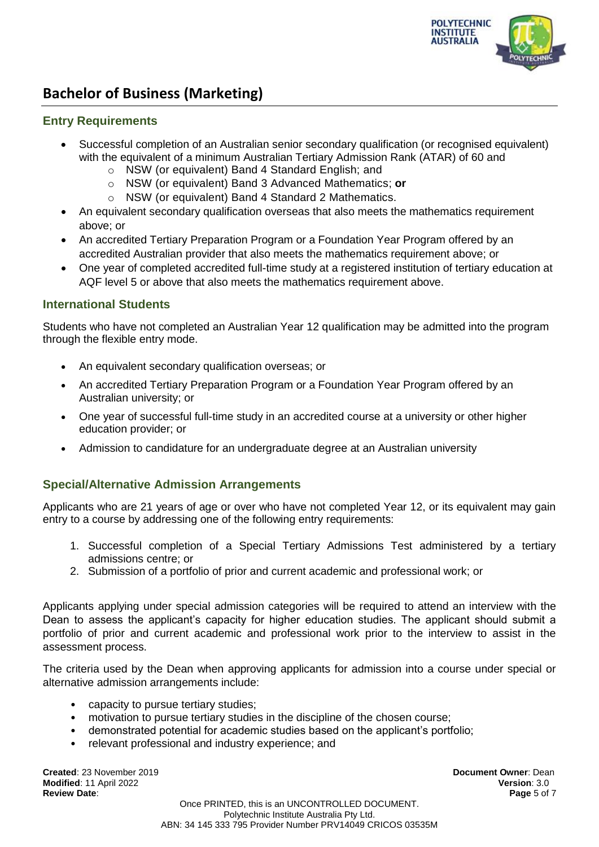

#### **Entry Requirements**

- Successful completion of an Australian senior secondary qualification (or recognised equivalent) with the equivalent of a minimum Australian Tertiary Admission Rank (ATAR) of 60 and
	- o NSW (or equivalent) Band 4 Standard English; and
	- o NSW (or equivalent) Band 3 Advanced Mathematics; **or**
	- o NSW (or equivalent) Band 4 Standard 2 Mathematics.
- An equivalent secondary qualification overseas that also meets the mathematics requirement above; or
- An accredited Tertiary Preparation Program or a Foundation Year Program offered by an accredited Australian provider that also meets the mathematics requirement above; or
- One year of completed accredited full-time study at a registered institution of tertiary education at AQF level 5 or above that also meets the mathematics requirement above.

### **International Students**

Students who have not completed an Australian Year 12 qualification may be admitted into the program through the flexible entry mode.

- An equivalent secondary qualification overseas; or
- An accredited Tertiary Preparation Program or a Foundation Year Program offered by an Australian university; or
- One year of successful full-time study in an accredited course at a university or other higher education provider; or
- Admission to candidature for an undergraduate degree at an Australian university

### **Special/Alternative Admission Arrangements**

Applicants who are 21 years of age or over who have not completed Year 12, or its equivalent may gain entry to a course by addressing one of the following entry requirements:

- 1. Successful completion of a Special Tertiary Admissions Test administered by a tertiary admissions centre; or
- 2. Submission of a portfolio of prior and current academic and professional work; or

Applicants applying under special admission categories will be required to attend an interview with the Dean to assess the applicant's capacity for higher education studies. The applicant should submit a portfolio of prior and current academic and professional work prior to the interview to assist in the assessment process.

The criteria used by the Dean when approving applicants for admission into a course under special or alternative admission arrangements include:

- capacity to pursue tertiary studies;
- motivation to pursue tertiary studies in the discipline of the chosen course;
- demonstrated potential for academic studies based on the applicant's portfolio;
- relevant professional and industry experience; and

**Created**: 23 November 2019 **Document Owner**: Dean **Modified**: 11 April 2022 **Version**: 3.0 **Review Date**: **Page** 5 of 7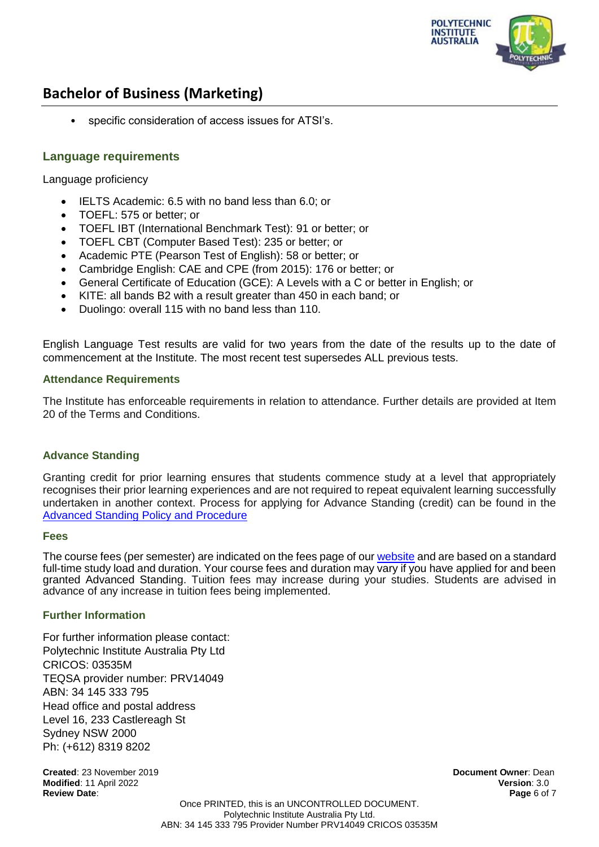

• specific consideration of access issues for ATSI's.

### **Language requirements**

Language proficiency

- IELTS Academic: 6.5 with no band less than 6.0; or
- TOEFL: 575 or better; or
- TOEFL IBT (International Benchmark Test): 91 or better; or
- TOEFL CBT (Computer Based Test): 235 or better; or
- Academic PTE (Pearson Test of English): 58 or better; or
- Cambridge English: CAE and CPE (from 2015): 176 or better; or
- General Certificate of Education (GCE): A Levels with a C or better in English; or
- KITE: all bands B2 with a result greater than 450 in each band; or
- Duolingo: overall 115 with no band less than 110.

English Language Test results are valid for two years from the date of the results up to the date of commencement at the Institute. The most recent test supersedes ALL previous tests.

#### **Attendance Requirements**

The Institute has enforceable requirements in relation to attendance. Further details are provided at Item 20 of the Terms and Conditions.

#### **Advance Standing**

Granting credit for prior learning ensures that students commence study at a level that appropriately recognises their prior learning experiences and are not required to repeat equivalent learning successfully undertaken in another context. Process for applying for Advance Standing (credit) can be found in the [Advanced Standing Policy and Procedure](https://docs.pia.edu.au/download-process.html)

#### **Fees**

The course fees (per semester) are indicated on the fees page of ou[r website](https://pia.edu.au/apply/fees/) and are based on a standard full-time study load and duration. Your course fees and duration may vary if you have applied for and been granted Advanced Standing. Tuition fees may increase during your studies. Students are advised in advance of any increase in tuition fees being implemented.

#### **Further Information**

For further information please contact: Polytechnic Institute Australia Pty Ltd CRICOS: 03535M TEQSA provider number: PRV14049 ABN: 34 145 333 795 Head office and postal address Level 16, 233 Castlereagh St Sydney NSW 2000 Ph: (+612) 8319 8202

**Created**: 23 November 2019 **Document Owner**: Dean **Modified**: 11 April 2022 **Version**: 3.0 **Review Date**: **Page** 6 of 7